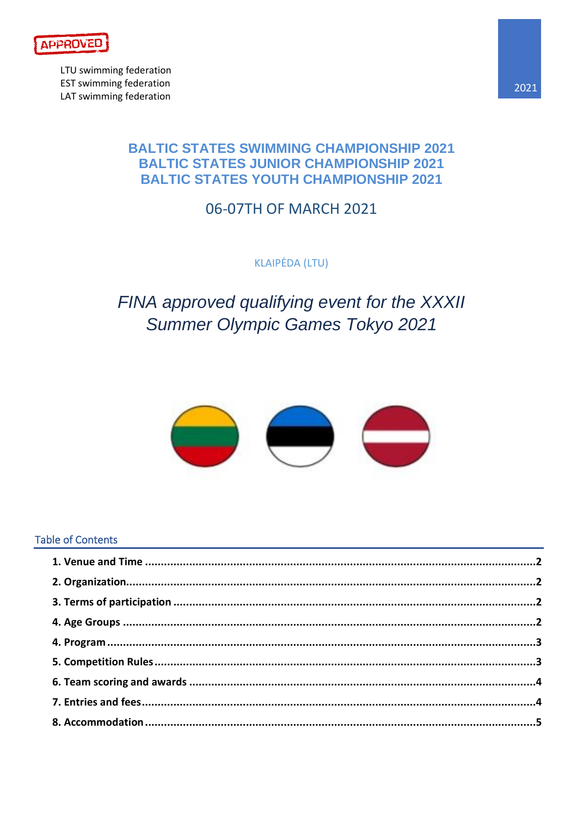

LTU swimming federation **EST swimming federation** LAT swimming federation

### **BALTIC STATES SWIMMING CHAMPIONSHIP 2021 BALTIC STATES JUNIOR CHAMPIONSHIP 2021 BALTIC STATES YOUTH CHAMPIONSHIP 2021**

### 06-07TH OF MARCH 2021

**KLAIPĖDA (LTU)** 

# FINA approved qualifying event for the XXXII **Summer Olympic Games Tokyo 2021**



### **Table of Contents**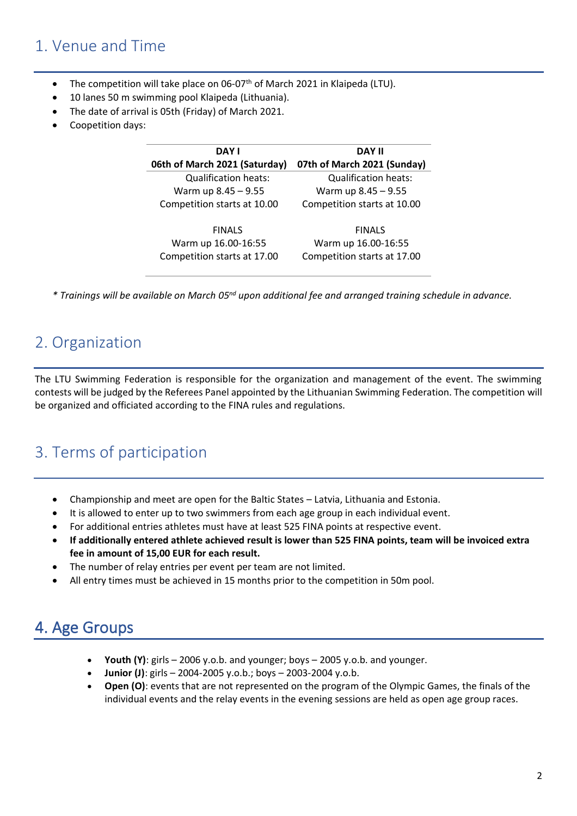### <span id="page-1-0"></span>1. Venue and Time

- The competition will take place on 06-07<sup>th</sup> of March 2021 in Klaipeda (LTU).
- 10 lanes 50 m swimming pool Klaipeda (Lithuania).
- The date of arrival is 05th (Friday) of March 2021.
- Coopetition days:

| <b>DAY I</b>                  | <b>DAY II</b>               |  |  |  |
|-------------------------------|-----------------------------|--|--|--|
| 06th of March 2021 (Saturday) | 07th of March 2021 (Sunday) |  |  |  |
| <b>Qualification heats:</b>   | <b>Qualification heats:</b> |  |  |  |
| Warm up 8.45 - 9.55           | Warm up 8.45 - 9.55         |  |  |  |
| Competition starts at 10.00   | Competition starts at 10.00 |  |  |  |
| <b>FINALS</b>                 | <b>FINALS</b>               |  |  |  |
| Warm up 16.00-16:55           | Warm up 16.00-16:55         |  |  |  |
| Competition starts at 17.00   | Competition starts at 17.00 |  |  |  |

<span id="page-1-1"></span>*\* Trainings will be available on March 05nd upon additional fee and arranged training schedule in advance.* 

## 2. Organization

The LTU Swimming Federation is responsible for the organization and management of the event. The swimming contests will be judged by the Referees Panel appointed by the Lithuanian Swimming Federation. The competition will be organized and officiated according to the FINA rules and regulations.

## <span id="page-1-2"></span>3. Terms of participation

- Championship and meet are open for the Baltic States Latvia, Lithuania and Estonia.
- It is allowed to enter up to two swimmers from each age group in each individual event.
- For additional entries athletes must have at least 525 FINA points at respective event.
- **If additionally entered athlete achieved result is lower than 525 FINA points, team will be invoiced extra fee in amount of 15,00 EUR for each result.**
- The number of relay entries per event per team are not limited.
- All entry times must be achieved in 15 months prior to the competition in 50m pool.

## <span id="page-1-3"></span>4. Age Groups

- **Youth (Y)**: girls 2006 y.o.b. and younger; boys 2005 y.o.b. and younger.
- **Junior (J)**: girls 2004-2005 y.o.b.; boys 2003-2004 y.o.b.
- **Open (O)**: events that are not represented on the program of the Olympic Games, the finals of the individual events and the relay events in the evening sessions are held as open age group races.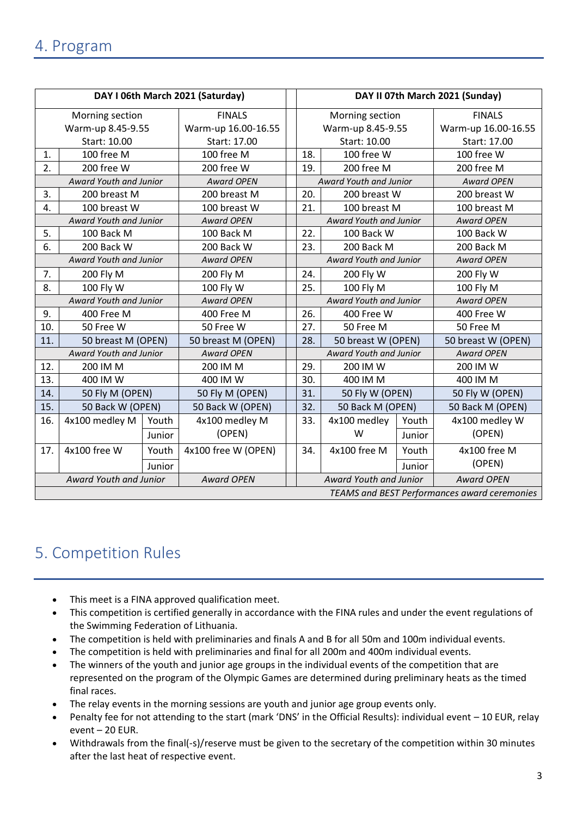<span id="page-2-0"></span>

| DAY I 06th March 2021 (Saturday)             |                        |               |                     | DAY II 07th March 2021 (Sunday) |                                             |                        |                   |                     |  |
|----------------------------------------------|------------------------|---------------|---------------------|---------------------------------|---------------------------------------------|------------------------|-------------------|---------------------|--|
|                                              | Morning section        | <b>FINALS</b> |                     | Morning section                 |                                             |                        | <b>FINALS</b>     |                     |  |
|                                              | Warm-up 8.45-9.55      |               | Warm-up 16.00-16.55 |                                 | Warm-up 8.45-9.55                           |                        |                   | Warm-up 16.00-16.55 |  |
|                                              | Start: 10.00           |               | Start: 17.00        |                                 |                                             | Start: 10.00           |                   | Start: 17.00        |  |
| 1.                                           | 100 free M             |               | 100 free M          | 100 free W<br>18.               |                                             |                        | 100 free W        |                     |  |
| 2.                                           | 200 free W             |               | 200 free W          | 200 free M<br>19.               |                                             |                        | 200 free M        |                     |  |
|                                              | Award Youth and Junior |               | <b>Award OPEN</b>   |                                 | Award Youth and Junior                      |                        | <b>Award OPEN</b> |                     |  |
| 3.                                           | 200 breast M           |               | 200 breast M        | 20.                             |                                             | 200 breast W           |                   | 200 breast W        |  |
| 4.                                           | 100 breast W           |               | 100 breast W        |                                 | 21.                                         | 100 breast M           |                   | 100 breast M        |  |
|                                              | Award Youth and Junior |               | <b>Award OPEN</b>   | Award Youth and Junior          |                                             |                        | <b>Award OPEN</b> |                     |  |
| 5.                                           | 100 Back M             |               | 100 Back M          |                                 | 100 Back W<br>22.                           |                        |                   | 100 Back W          |  |
| 6.                                           | 200 Back W             |               | 200 Back W          |                                 | 200 Back M<br>23.                           |                        |                   | 200 Back M          |  |
|                                              | Award Youth and Junior |               | <b>Award OPEN</b>   |                                 | Award Youth and Junior                      |                        |                   | <b>Award OPEN</b>   |  |
| 7.                                           | 200 Fly M              |               | 200 Fly M           |                                 | 24.<br>200 Fly W                            |                        |                   | 200 Fly W           |  |
| 8.                                           | 100 Fly W              |               | 100 Fly W           |                                 | 100 Fly M<br>25.                            |                        |                   | 100 Fly M           |  |
|                                              | Award Youth and Junior |               | <b>Award OPEN</b>   |                                 |                                             | Award Youth and Junior |                   | <b>Award OPEN</b>   |  |
| 9.                                           | 400 Free M             |               | 400 Free M          |                                 | 26.<br>400 Free W                           |                        |                   | 400 Free W          |  |
| 10.                                          | 50 Free W              |               | 50 Free W           |                                 | 27.                                         | 50 Free M              |                   | 50 Free M           |  |
| 11.                                          | 50 breast M (OPEN)     |               | 50 breast M (OPEN)  |                                 | 28.                                         | 50 breast W (OPEN)     |                   | 50 breast W (OPEN)  |  |
|                                              | Award Youth and Junior |               | <b>Award OPEN</b>   |                                 |                                             | Award Youth and Junior |                   | <b>Award OPEN</b>   |  |
| 12.                                          | 200 IM M               |               | 200 IM M            |                                 | 29.                                         | 200 IM W               |                   | 200 IM W            |  |
| 13.                                          | 400 IM W               |               | 400 IM W            |                                 | 30.                                         | 400 IM M               |                   | 400 IM M            |  |
| 14.                                          | 50 Fly M (OPEN)        |               | 50 Fly M (OPEN)     |                                 | 31.                                         | 50 Fly W (OPEN)        |                   | 50 Fly W (OPEN)     |  |
| 15.                                          | 50 Back W (OPEN)       |               | 50 Back W (OPEN)    |                                 | 32.                                         | 50 Back M (OPEN)       |                   | 50 Back M (OPEN)    |  |
| 16.                                          | 4x100 medley M         | Youth         | 4x100 medley M      |                                 | 33.                                         | 4x100 medley           | Youth             | 4x100 medley W      |  |
|                                              |                        | Junior        | (OPEN)              |                                 |                                             | W                      | Junior            | (OPEN)              |  |
| 17.                                          | 4x100 free W           | Youth         | 4x100 free W (OPEN) |                                 | 34.                                         | 4x100 free M           | Youth             | 4x100 free M        |  |
|                                              |                        | Junior        |                     |                                 |                                             |                        | Junior            | (OPEN)              |  |
| Award Youth and Junior<br><b>Award OPEN</b>  |                        |               |                     |                                 | Award Youth and Junior<br><b>Award OPEN</b> |                        |                   |                     |  |
| TEAMS and BEST Performances award ceremonies |                        |               |                     |                                 |                                             |                        |                   |                     |  |

## <span id="page-2-1"></span>5. Competition Rules

- This meet is a FINA approved qualification meet.
- This competition is certified generally in accordance with the FINA rules and under the event regulations of the Swimming Federation of Lithuania.
- The competition is held with preliminaries and finals A and B for all 50m and 100m individual events.
- The competition is held with preliminaries and final for all 200m and 400m individual events.
- The winners of the youth and junior age groups in the individual events of the competition that are represented on the program of the Olympic Games are determined during preliminary heats as the timed final races.
- The relay events in the morning sessions are youth and junior age group events only.
- Penalty fee for not attending to the start (mark 'DNS' in the Official Results): individual event 10 EUR, relay event – 20 EUR.
- Withdrawals from the final(-s)/reserve must be given to the secretary of the competition within 30 minutes after the last heat of respective event.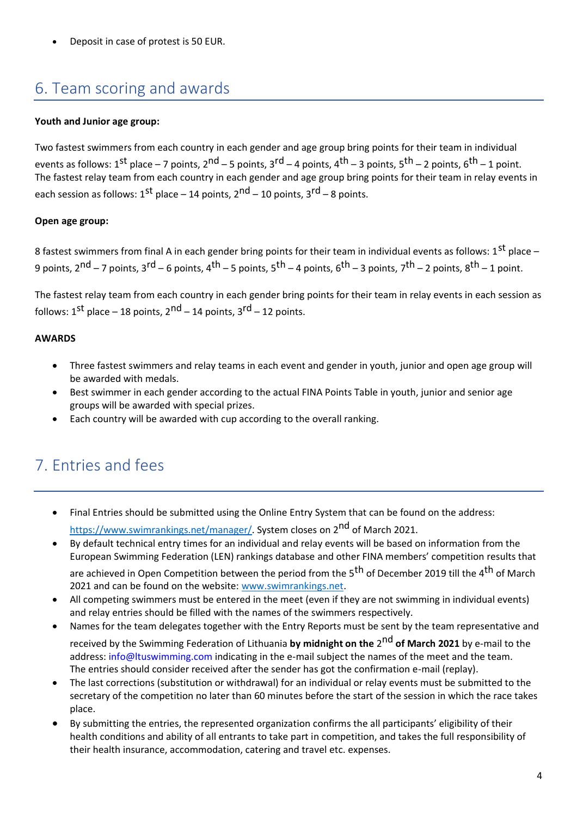• Deposit in case of protest is 50 EUR.

## <span id="page-3-0"></span>6. Team scoring and awards

#### **Youth and Junior age group:**

Two fastest swimmers from each country in each gender and age group bring points for their team in individual events as follows: 1<sup>st</sup> place – 7 points, 2<sup>nd</sup> – 5 points, 3<sup>rd</sup> – 4 points, 4<sup>th</sup> – 3 points, 5<sup>th</sup> – 2 points, 6<sup>th</sup> – 1 point. The fastest relay team from each country in each gender and age group bring points for their team in relay events in each session as follows:  $1^{st}$  place – 14 points,  $2^{nd}$  – 10 points,  $3^{rd}$  – 8 points.

#### **Open age group:**

8 fastest swimmers from final A in each gender bring points for their team in individual events as follows:  $1^{st}$  place – 9 points,  $2^{nd}$  – 7 points,  $3^{rd}$  – 6 points,  $4^{th}$  – 5 points,  $5^{th}$  – 4 points,  $6^{th}$  – 3 points,  $7^{th}$  – 2 points,  $8^{th}$  – 1 point.

The fastest relay team from each country in each gender bring points for their team in relay events in each session as follows:  $1^{st}$  place – 18 points,  $2^{nd}$  – 14 points,  $3^{rd}$  – 12 points.

#### **AWARDS**

- Three fastest swimmers and relay teams in each event and gender in youth, junior and open age group will be awarded with medals.
- Best swimmer in each gender according to the actual FINA Points Table in youth, junior and senior age groups will be awarded with special prizes.
- Each country will be awarded with cup according to the overall ranking.

## <span id="page-3-1"></span>7. Entries and fees

- Final Entries should be submitted using the Online Entry System that can be found on the address: [https://www.swimrankings.net/manager/.](https://www.swimrankings.net/manager/) System closes on 2<sup>nd</sup> of March 2021.
- By default technical entry times for an individual and relay events will be based on information from the European Swimming Federation (LEN) rankings database and other FINA members' competition results that are achieved in Open Competition between the period from the 5<sup>th</sup> of December 2019 till the 4<sup>th</sup> of March
- 2021 and can be found on the website: [www.swimrankings.net.](http://www.swimrankings.net/) • All competing swimmers must be entered in the meet (even if they are not swimming in individual events)
- and relay entries should be filled with the names of the swimmers respectively. • Names for the team delegates together with the Entry Reports must be sent by the team representative and received by the Swimming Federation of Lithuania **by midnight on the** 2<sup>nd</sup> of March 2021 by e-mail to the address: info@ltuswimming.com indicating in the e-mail subject the names of the meet and the team. The entries should consider received after the sender has got the confirmation e-mail (replay).
- The last corrections (substitution or withdrawal) for an individual or relay events must be submitted to the secretary of the competition no later than 60 minutes before the start of the session in which the race takes place.
- By submitting the entries, the represented organization confirms the all participants' eligibility of their health conditions and ability of all entrants to take part in competition, and takes the full responsibility of their health insurance, accommodation, catering and travel etc. expenses.